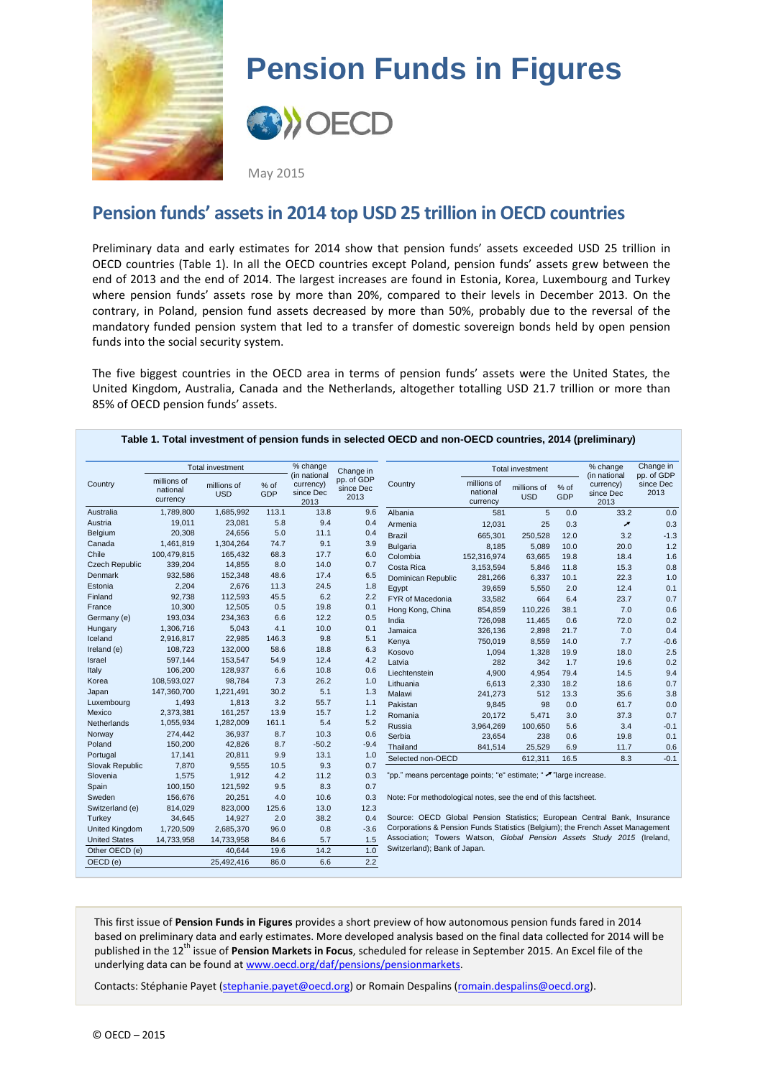

# **Pension Funds in Figures**



May 2015

## **Pension funds' assets in 2014 top USD 25 trillion in OECD countries**

Preliminary data and early estimates for 2014 show that pension funds' assets exceeded USD 25 trillion in OECD countries (Table 1). In all the OECD countries except Poland, pension funds' assets grew between the end of 2013 and the end of 2014. The largest increases are found in Estonia, Korea, Luxembourg and Turkey where pension funds' assets rose by more than 20%, compared to their levels in December 2013. On the contrary, in Poland, pension fund assets decreased by more than 50%, probably due to the reversal of the mandatory funded pension system that led to a transfer of domestic sovereign bonds held by open pension funds into the social security system.

The five biggest countries in the OECD area in terms of pension funds' assets were the United States, the United Kingdom, Australia, Canada and the Netherlands, altogether totalling USD 21.7 trillion or more than 85% of OECD pension funds' assets.

|                       | Total investment                    |                           |             | % change                                       | Change in                       |                                                                                                                                                                                                                                                                                                                                                                                                             | <b>Total investment</b>             |                           |               | % change                                       | Change in                       |
|-----------------------|-------------------------------------|---------------------------|-------------|------------------------------------------------|---------------------------------|-------------------------------------------------------------------------------------------------------------------------------------------------------------------------------------------------------------------------------------------------------------------------------------------------------------------------------------------------------------------------------------------------------------|-------------------------------------|---------------------------|---------------|------------------------------------------------|---------------------------------|
| Country               | millions of<br>national<br>currency | millions of<br><b>USD</b> | % of<br>GDP | (in national<br>currency)<br>since Dec<br>2013 | pp. of GDP<br>since Dec<br>2013 | Country                                                                                                                                                                                                                                                                                                                                                                                                     | millions of<br>national<br>currency | millions of<br><b>USD</b> | $%$ of<br>GDP | (in national<br>currency)<br>since Dec<br>2013 | pp. of GDP<br>since Dec<br>2013 |
| Australia             | 1,789,800                           | 1,685,992                 | 113.1       | 13.8                                           | 9.6                             | Albania                                                                                                                                                                                                                                                                                                                                                                                                     | 581                                 | 5                         | 0.0           | 33.2                                           | 0.0                             |
| Austria               | 19.011                              | 23,081                    | 5.8         | 9.4                                            | 0.4                             | Armenia                                                                                                                                                                                                                                                                                                                                                                                                     | 12,031                              | 25                        | 0.3           | ↗                                              | 0.3                             |
| Belgium               | 20,308                              | 24,656                    | 5.0         | 11.1                                           | 0.4                             | <b>Brazil</b>                                                                                                                                                                                                                                                                                                                                                                                               | 665,301                             | 250,528                   | 12.0          | 3.2                                            | $-1.3$                          |
| Canada                | 1,461,819                           | 1,304,264                 | 74.7        | 9.1                                            | 3.9                             | <b>Bulgaria</b>                                                                                                                                                                                                                                                                                                                                                                                             | 8,185                               | 5,089                     | 10.0          | 20.0                                           | 1.2                             |
| Chile                 | 100.479.815                         | 165,432                   | 68.3        | 17.7                                           | 6.0                             | Colombia                                                                                                                                                                                                                                                                                                                                                                                                    | 152,316,974                         | 63,665                    | 19.8          | 18.4                                           | 1.6                             |
| <b>Czech Republic</b> | 339,204                             | 14,855                    | 8.0         | 14.0                                           | 0.7                             | Costa Rica                                                                                                                                                                                                                                                                                                                                                                                                  | 3,153,594                           | 5,846                     | 11.8          | 15.3                                           | 0.8                             |
| <b>Denmark</b>        | 932,586                             | 152,348                   | 48.6        | 17.4                                           | 6.5                             | Dominican Republic                                                                                                                                                                                                                                                                                                                                                                                          | 281,266                             | 6,337                     | 10.1          | 22.3                                           | 1.0                             |
| Estonia               | 2.204                               | 2,676                     | 11.3        | 24.5                                           | 1.8                             | Egypt                                                                                                                                                                                                                                                                                                                                                                                                       | 39,659                              | 5,550                     | 2.0           | 12.4                                           | 0.1                             |
| Finland               | 92,738                              | 112,593                   | 45.5        | 6.2                                            | 2.2                             | FYR of Macedonia                                                                                                                                                                                                                                                                                                                                                                                            | 33,582                              | 664                       | 6.4           | 23.7                                           | 0.7                             |
| France                | 10,300                              | 12,505                    | 0.5         | 19.8                                           | 0.1                             | Hong Kong, China                                                                                                                                                                                                                                                                                                                                                                                            | 854,859                             | 110,226                   | 38.1          | 7.0                                            | 0.6                             |
| Germany (e)           | 193,034                             | 234,363                   | 6.6         | 12.2                                           | 0.5                             | India                                                                                                                                                                                                                                                                                                                                                                                                       | 726.098                             | 11,465                    | 0.6           | 72.0                                           | 0.2                             |
| Hungary               | 1,306,716                           | 5,043                     | 4.1         | 10.0                                           | 0.1                             | Jamaica                                                                                                                                                                                                                                                                                                                                                                                                     | 326,136                             | 2,898                     | 21.7          | 7.0                                            | 0.4                             |
| Iceland               | 2,916,817                           | 22,985                    | 146.3       | 9.8                                            | 5.1                             | Kenya                                                                                                                                                                                                                                                                                                                                                                                                       | 750,019                             | 8,559                     | 14.0          | 7.7                                            | $-0.6$                          |
| Ireland (e)           | 108.723                             | 132,000                   | 58.6        | 18.8                                           | 6.3                             | Kosovo                                                                                                                                                                                                                                                                                                                                                                                                      | 1,094                               | 1,328                     | 19.9          | 18.0                                           | 2.5                             |
| Israel                | 597,144                             | 153,547                   | 54.9        | 12.4                                           | 4.2                             | Latvia                                                                                                                                                                                                                                                                                                                                                                                                      | 282                                 | 342                       | 1.7           | 19.6                                           | 0.2                             |
| Italy                 | 106,200                             | 128,937                   | 6.6         | 10.8                                           | 0.6                             | Liechtenstein                                                                                                                                                                                                                                                                                                                                                                                               | 4,900                               | 4,954                     | 79.4          | 14.5                                           | 9.4                             |
| Korea                 | 108,593,027                         | 98.784                    | 7.3         | 26.2                                           | 1.0                             | Lithuania                                                                                                                                                                                                                                                                                                                                                                                                   | 6,613                               | 2,330                     | 18.2          | 18.6                                           | 0.7                             |
| Japan                 | 147,360,700                         | 1,221,491                 | 30.2        | 5.1                                            | 1.3                             | Malawi                                                                                                                                                                                                                                                                                                                                                                                                      | 241,273                             | 512                       | 13.3          | 35.6                                           | 3.8                             |
| Luxembourg            | 1,493                               | 1,813                     | 3.2         | 55.7                                           | 1.1                             | Pakistan                                                                                                                                                                                                                                                                                                                                                                                                    | 9,845                               | 98                        | 0.0           | 61.7                                           | 0.0                             |
| Mexico                | 2,373,381                           | 161,257                   | 13.9        | 15.7                                           | 1.2                             | Romania                                                                                                                                                                                                                                                                                                                                                                                                     | 20,172                              | 5,471                     | 3.0           | 37.3                                           | 0.7                             |
| Netherlands           | 1,055,934                           | 1,282,009                 | 161.1       | 5.4                                            | 5.2                             | Russia                                                                                                                                                                                                                                                                                                                                                                                                      | 3,964,269                           | 100,650                   | 5.6           | 3.4                                            | $-0.1$                          |
| Norway                | 274,442                             | 36,937                    | 8.7         | 10.3                                           | 0.6                             | Serbia                                                                                                                                                                                                                                                                                                                                                                                                      | 23,654                              | 238                       | 0.6           | 19.8                                           | 0.1                             |
| Poland                | 150,200                             | 42,826                    | 8.7         | $-50.2$                                        | $-9.4$                          | Thailand                                                                                                                                                                                                                                                                                                                                                                                                    | 841,514                             | 25,529                    | 6.9           | 11.7                                           | 0.6                             |
| Portugal              | 17,141                              | 20,811                    | 9.9         | 13.1                                           | 1.0                             | Selected non-OECD                                                                                                                                                                                                                                                                                                                                                                                           |                                     | 612,311                   | 16.5          | 8.3                                            | $-0.1$                          |
| Slovak Republic       | 7.870                               | 9.555                     | 10.5        | 9.3                                            | 0.7                             | "pp." means percentage points; "e" estimate; " / "large increase.<br>Note: For methodological notes, see the end of this factsheet.<br>Source: OECD Global Pension Statistics: European Central Bank, Insurance<br>Corporations & Pension Funds Statistics (Belgium); the French Asset Management<br>Association; Towers Watson, Global Pension Assets Study 2015 (Ireland,<br>Switzerland); Bank of Japan. |                                     |                           |               |                                                |                                 |
| Slovenia              | 1,575                               | 1,912                     | 4.2         | 11.2                                           | 0.3                             |                                                                                                                                                                                                                                                                                                                                                                                                             |                                     |                           |               |                                                |                                 |
| Spain                 | 100,150                             | 121,592                   | 9.5         | 8.3                                            | 0.7                             |                                                                                                                                                                                                                                                                                                                                                                                                             |                                     |                           |               |                                                |                                 |
| Sweden                | 156.676                             | 20,251                    | 4.0         | 10.6                                           | 0.3                             |                                                                                                                                                                                                                                                                                                                                                                                                             |                                     |                           |               |                                                |                                 |
| Switzerland (e)       | 814,029                             | 823,000                   | 125.6       | 13.0                                           | 12.3                            |                                                                                                                                                                                                                                                                                                                                                                                                             |                                     |                           |               |                                                |                                 |
| Turkey                | 34,645                              | 14,927                    | 2.0         | 38.2                                           | 0.4                             |                                                                                                                                                                                                                                                                                                                                                                                                             |                                     |                           |               |                                                |                                 |
| <b>United Kingdom</b> | 1,720,509                           | 2,685,370                 | 96.0        | 0.8                                            | $-3.6$                          |                                                                                                                                                                                                                                                                                                                                                                                                             |                                     |                           |               |                                                |                                 |
| <b>United States</b>  | 14,733,958                          | 14,733,958                | 84.6        | 5.7                                            | 1.5                             |                                                                                                                                                                                                                                                                                                                                                                                                             |                                     |                           |               |                                                |                                 |
| Other OECD (e)        |                                     | 40,644                    | 19.6        | 14.2                                           | 1.0                             |                                                                                                                                                                                                                                                                                                                                                                                                             |                                     |                           |               |                                                |                                 |
| OECD (e)              |                                     | 25,492,416                | 86.0        | 6.6                                            | 2.2                             |                                                                                                                                                                                                                                                                                                                                                                                                             |                                     |                           |               |                                                |                                 |

#### **Table 1. Total investment of pension funds in selected OECD and non-OECD countries, 2014 (preliminary)**

This first issue of **Pension Funds in Figures** provides a short preview of how autonomous pension funds fared in 2014 based on preliminary data and early estimates. More developed analysis based on the final data collected for 2014 will be published in the 12<sup>th</sup> issue of Pension Markets in Focus, scheduled for release in September 2015. An Excel file of the underlying data can be found at www.oecd.org/daf/pensions/pensionmarkets.

Contacts: Stéphanie Payet [\(stephanie.payet@oecd.org\)](mailto:stephanie.payet@oecd.org) or Romain Despalins [\(romain.despalins@oecd.org\)](mailto:romain.despalins@oecd.org).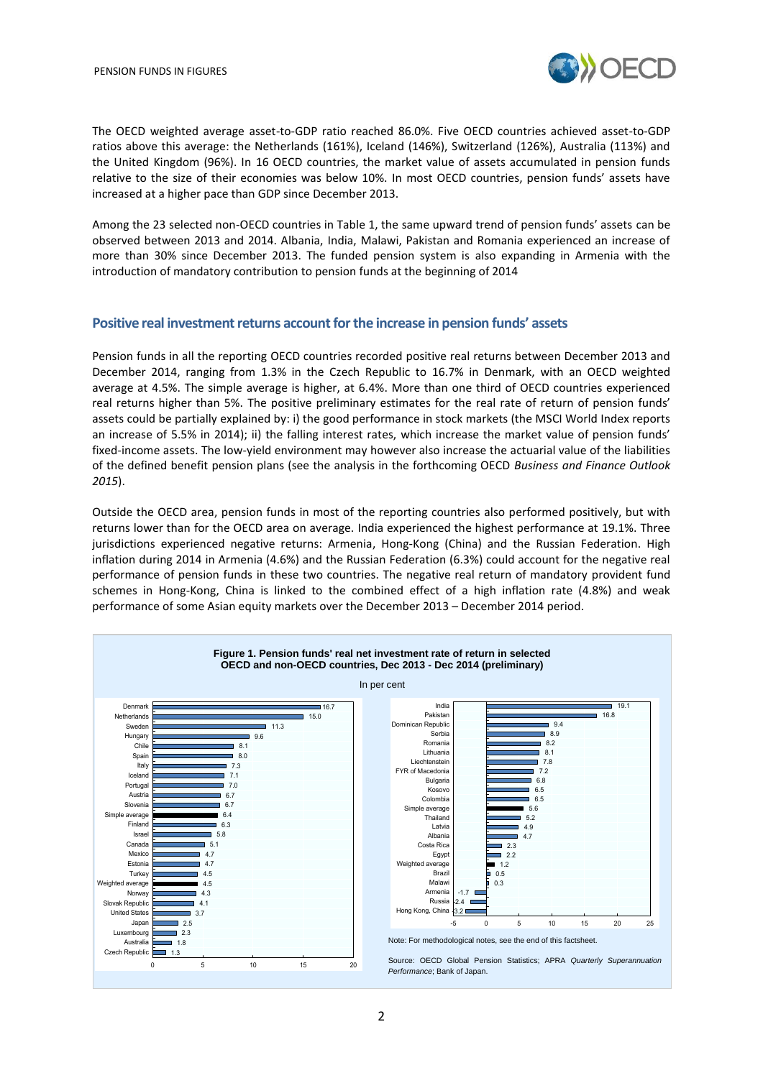

The OECD weighted average asset-to-GDP ratio reached 86.0%. Five OECD countries achieved asset-to-GDP ratios above this average: the Netherlands (161%), Iceland (146%), Switzerland (126%), Australia (113%) and the United Kingdom (96%). In 16 OECD countries, the market value of assets accumulated in pension funds relative to the size of their economies was below 10%. In most OECD countries, pension funds' assets have increased at a higher pace than GDP since December 2013.

Among the 23 selected non-OECD countries in Table 1, the same upward trend of pension funds' assets can be observed between 2013 and 2014. Albania, India, Malawi, Pakistan and Romania experienced an increase of more than 30% since December 2013. The funded pension system is also expanding in Armenia with the introduction of mandatory contribution to pension funds at the beginning of 2014

### **Positive real investment returns account for the increase in pension funds' assets**

Pension funds in all the reporting OECD countries recorded positive real returns between December 2013 and December 2014, ranging from 1.3% in the Czech Republic to 16.7% in Denmark, with an OECD weighted average at 4.5%. The simple average is higher, at 6.4%. More than one third of OECD countries experienced real returns higher than 5%. The positive preliminary estimates for the real rate of return of pension funds' assets could be partially explained by: i) the good performance in stock markets (the MSCI World Index reports an increase of 5.5% in 2014); ii) the falling interest rates, which increase the market value of pension funds' fixed-income assets. The low-yield environment may however also increase the actuarial value of the liabilities of the defined benefit pension plans (see the analysis in the forthcoming OECD *Business and Finance Outlook 2015*).

Outside the OECD area, pension funds in most of the reporting countries also performed positively, but with returns lower than for the OECD area on average. India experienced the highest performance at 19.1%. Three jurisdictions experienced negative returns: Armenia, Hong-Kong (China) and the Russian Federation. High inflation during 2014 in Armenia (4.6%) and the Russian Federation (6.3%) could account for the negative real performance of pension funds in these two countries. The negative real return of mandatory provident fund schemes in Hong-Kong, China is linked to the combined effect of a high inflation rate (4.8%) and weak performance of some Asian equity markets over the December 2013 – December 2014 period.

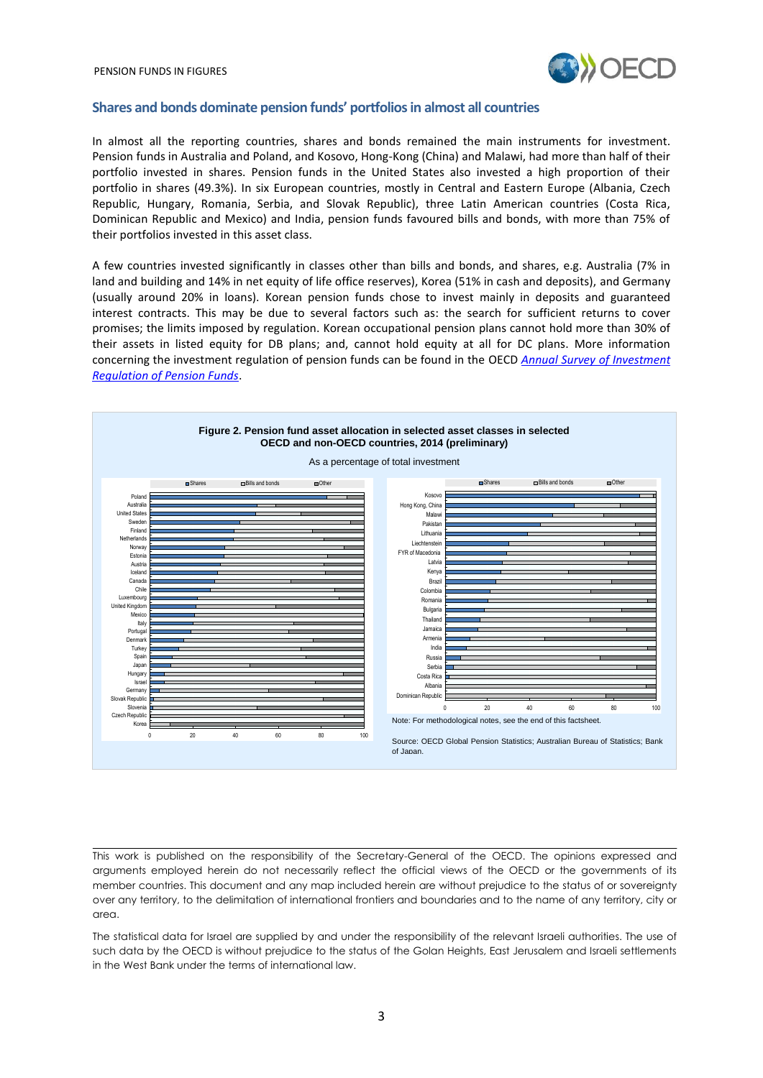

#### **Shares and bonds dominate pension funds' portfoliosin almost all countries**

In almost all the reporting countries, shares and bonds remained the main instruments for investment. Pension funds in Australia and Poland, and Kosovo, Hong-Kong (China) and Malawi, had more than half of their portfolio invested in shares. Pension funds in the United States also invested a high proportion of their portfolio in shares (49.3%). In six European countries, mostly in Central and Eastern Europe (Albania, Czech Republic, Hungary, Romania, Serbia, and Slovak Republic), three Latin American countries (Costa Rica, Dominican Republic and Mexico) and India, pension funds favoured bills and bonds, with more than 75% of their portfolios invested in this asset class.

A few countries invested significantly in classes other than bills and bonds, and shares, e.g. Australia (7% in land and building and 14% in net equity of life office reserves), Korea (51% in cash and deposits), and Germany (usually around 20% in loans). Korean pension funds chose to invest mainly in deposits and guaranteed interest contracts. This may be due to several factors such as: the search for sufficient returns to cover promises; the limits imposed by regulation. Korean occupational pension plans cannot hold more than 30% of their assets in listed equity for DB plans; and, cannot hold equity at all for DC plans. More information concerning the investment regulation of pension funds can be found in the OECD *[Annual Survey of Investment](http://www.oecd.org/finance/private-pensions/annualsurveyofinvestmentregulationofpensionfunds.htm)  [Regulation of Pension Funds](http://www.oecd.org/finance/private-pensions/annualsurveyofinvestmentregulationofpensionfunds.htm)*.



This work is published on the responsibility of the Secretary-General of the OECD. The opinions expressed and arguments employed herein do not necessarily reflect the official views of the OECD or the governments of its member countries. This document and any map included herein are without prejudice to the status of or sovereignty over any territory, to the delimitation of international frontiers and boundaries and to the name of any territory, city or area.

The statistical data for Israel are supplied by and under the responsibility of the relevant Israeli authorities. The use of such data by the OECD is without prejudice to the status of the Golan Heights, East Jerusalem and Israeli settlements in the West Bank under the terms of international law.